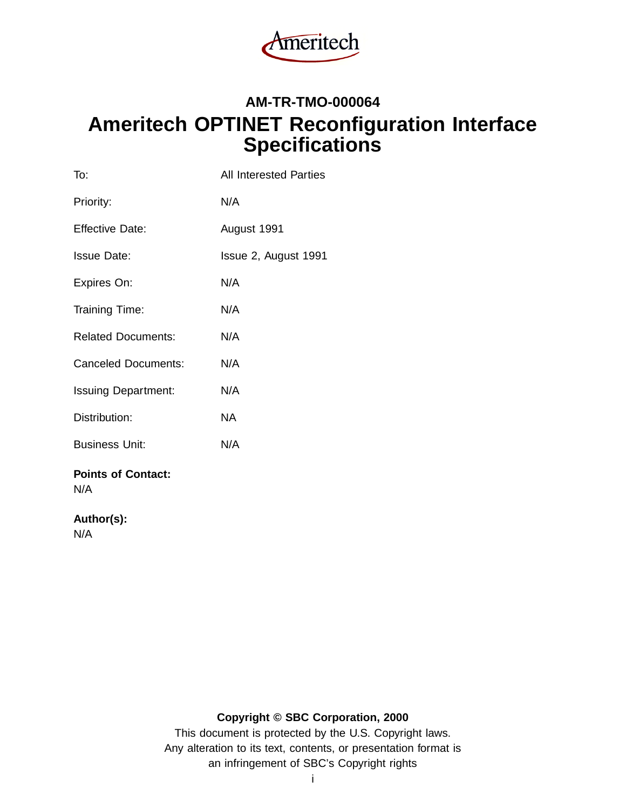

# **AM-TR-TMO-000064 Ameritech OPTINET Reconfiguration Interface Specifications**

| To:                              | All Interested Parties |  |  |  |
|----------------------------------|------------------------|--|--|--|
| Priority:                        | N/A                    |  |  |  |
| <b>Effective Date:</b>           | August 1991            |  |  |  |
| <b>Issue Date:</b>               | Issue 2, August 1991   |  |  |  |
| Expires On:                      | N/A                    |  |  |  |
| Training Time:                   | N/A                    |  |  |  |
| <b>Related Documents:</b>        | N/A                    |  |  |  |
| <b>Canceled Documents:</b>       | N/A                    |  |  |  |
| <b>Issuing Department:</b>       | N/A                    |  |  |  |
| Distribution:                    | NA.                    |  |  |  |
| <b>Business Unit:</b>            | N/A                    |  |  |  |
| <b>Points of Contact:</b><br>N/A |                        |  |  |  |

# **Author(s):**

N/A

# **Copyright © SBC Corporation, 2000**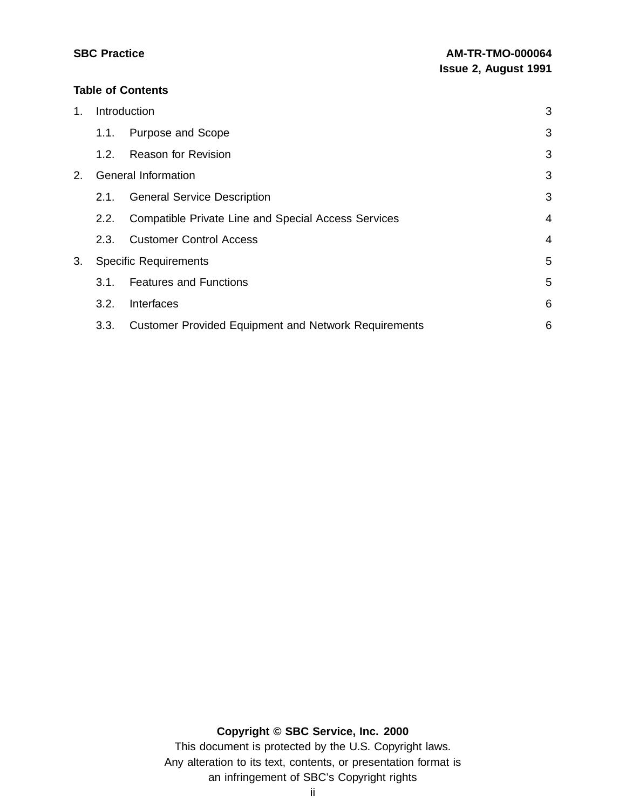|  | <b>SBC Practice</b> |
|--|---------------------|
|--|---------------------|

#### **Table of Contents**

| 1.                                 | Introduction               |                                                             |   |
|------------------------------------|----------------------------|-------------------------------------------------------------|---|
|                                    | 1.1.                       | Purpose and Scope                                           | 3 |
|                                    | 1.2.                       | <b>Reason for Revision</b>                                  | 3 |
| 2.                                 | <b>General Information</b> | 3                                                           |   |
|                                    | 2.1.                       | <b>General Service Description</b>                          | 3 |
|                                    | 2.2.                       | <b>Compatible Private Line and Special Access Services</b>  | 4 |
|                                    | 2.3.                       | <b>Customer Control Access</b>                              | 4 |
| 3.<br><b>Specific Requirements</b> |                            |                                                             | 5 |
|                                    | 3.1.                       | <b>Features and Functions</b>                               | 5 |
|                                    | 3.2.                       | Interfaces                                                  | 6 |
|                                    | 3.3.                       | <b>Customer Provided Equipment and Network Requirements</b> | 6 |

# **Copyright © SBC Service, Inc. 2000**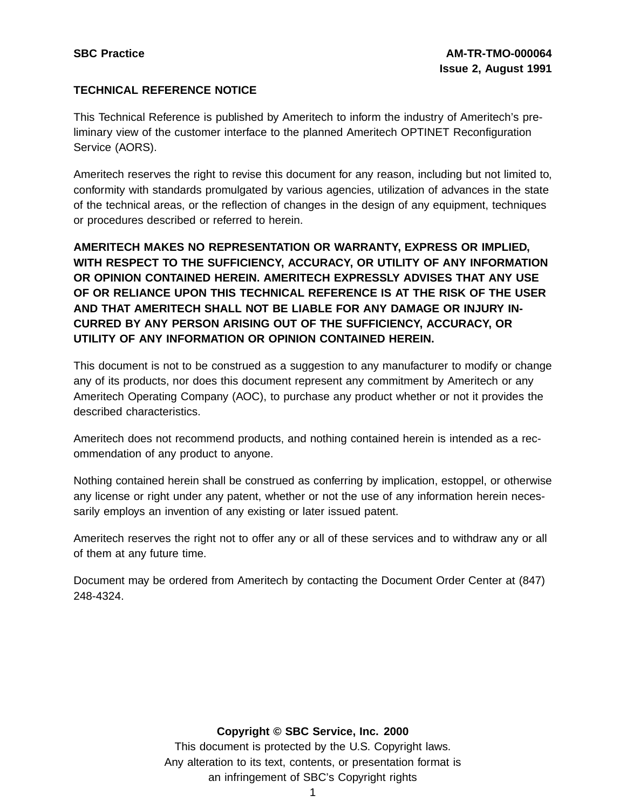# **TECHNICAL REFERENCE NOTICE**

This Technical Reference is published by Ameritech to inform the industry of Ameritech's preliminary view of the customer interface to the planned Ameritech OPTINET Reconfiguration Service (AORS).

Ameritech reserves the right to revise this document for any reason, including but not limited to, conformity with standards promulgated by various agencies, utilization of advances in the state of the technical areas, or the reflection of changes in the design of any equipment, techniques or procedures described or referred to herein.

**AMERITECH MAKES NO REPRESENTATION OR WARRANTY, EXPRESS OR IMPLIED, WITH RESPECT TO THE SUFFICIENCY, ACCURACY, OR UTILITY OF ANY INFORMATION OR OPINION CONTAINED HEREIN. AMERITECH EXPRESSLY ADVISES THAT ANY USE OF OR RELIANCE UPON THIS TECHNICAL REFERENCE IS AT THE RISK OF THE USER AND THAT AMERITECH SHALL NOT BE LIABLE FOR ANY DAMAGE OR INJURY IN-CURRED BY ANY PERSON ARISING OUT OF THE SUFFICIENCY, ACCURACY, OR UTILITY OF ANY INFORMATION OR OPINION CONTAINED HEREIN.**

This document is not to be construed as a suggestion to any manufacturer to modify or change any of its products, nor does this document represent any commitment by Ameritech or any Ameritech Operating Company (AOC), to purchase any product whether or not it provides the described characteristics.

Ameritech does not recommend products, and nothing contained herein is intended as a recommendation of any product to anyone.

Nothing contained herein shall be construed as conferring by implication, estoppel, or otherwise any license or right under any patent, whether or not the use of any information herein necessarily employs an invention of any existing or later issued patent.

Ameritech reserves the right not to offer any or all of these services and to withdraw any or all of them at any future time.

Document may be ordered from Ameritech by contacting the Document Order Center at (847) 248-4324.

#### **Copyright © SBC Service, Inc. 2000**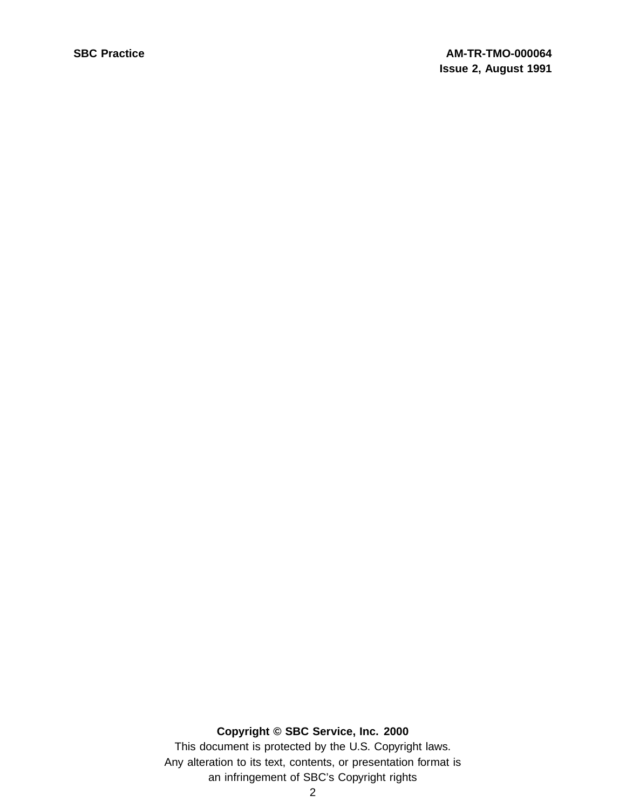# **Copyright © SBC Service, Inc. 2000**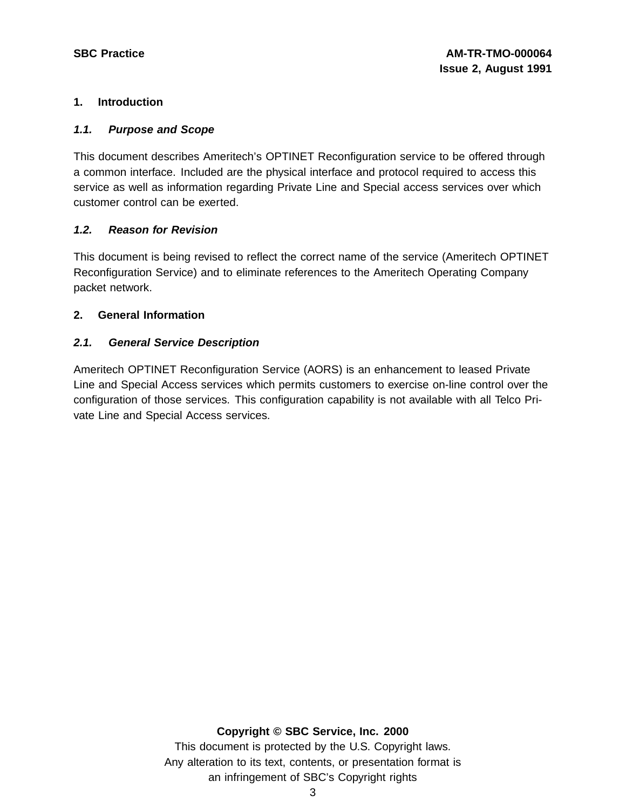# **1. Introduction**

# **1.1. Purpose and Scope**

This document describes Ameritech's OPTINET Reconfiguration service to be offered through a common interface. Included are the physical interface and protocol required to access this service as well as information regarding Private Line and Special access services over which customer control can be exerted.

# **1.2. Reason for Revision**

This document is being revised to reflect the correct name of the service (Ameritech OPTINET Reconfiguration Service) and to eliminate references to the Ameritech Operating Company packet network.

# **2. General Information**

# **2.1. General Service Description**

Ameritech OPTINET Reconfiguration Service (AORS) is an enhancement to leased Private Line and Special Access services which permits customers to exercise on-line control over the configuration of those services. This configuration capability is not available with all Telco Private Line and Special Access services.

# **Copyright © SBC Service, Inc. 2000**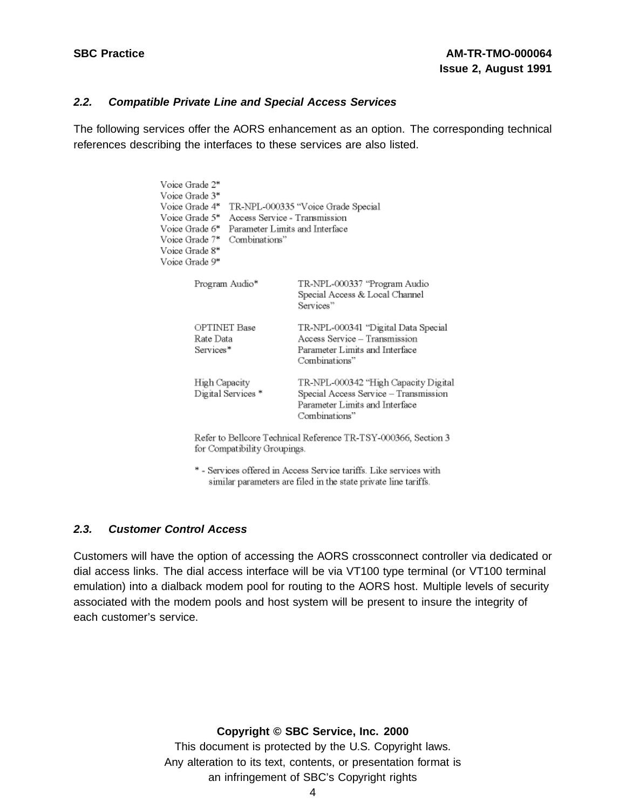# **2.2. Compatible Private Line and Special Access Services**

The following services offer the AORS enhancement as an option. The corresponding technical references describing the interfaces to these services are also listed.

| Voice Grade 2*<br>Voice Grade 3*<br>Voice Grade 4*<br>Voice Grade 5*<br>Voice Grade 6*<br>Voice Grade 7*<br>Voice Grade 8*<br>Voice Grade 9* | TR-NPL-000335 "Voice Grade Special<br>Access Service - Transmission<br>Parameter Limits and Interface<br>Combinations" |                                                                                                                                  |  |
|----------------------------------------------------------------------------------------------------------------------------------------------|------------------------------------------------------------------------------------------------------------------------|----------------------------------------------------------------------------------------------------------------------------------|--|
| Program Audio*                                                                                                                               |                                                                                                                        | TR-NPL-000337 "Program Audio<br>Special Access & Local Channel<br>Services"                                                      |  |
| OPTINET Base<br>Rate Data<br>Services*                                                                                                       |                                                                                                                        | TR-NPL-000341 "Digital Data Special<br>Access Service - Transmission<br>Parameter Limits and Interface<br>Combinations"          |  |
| High Capacity<br>Digital Services *                                                                                                          |                                                                                                                        | TR-NPL-000342 "High Capacity Digital<br>Special Access Service - Transmission<br>Parameter Limits and Interface<br>Combinations" |  |

Refer to Bellcore Technical Reference TR-TSY-000366, Section 3 for Compatibility Groupings.

\* - Services offered in Access Service tariffs. Like services with similar parameters are filed in the state private line tariffs.

# **2.3. Customer Control Access**

Customers will have the option of accessing the AORS crossconnect controller via dedicated or dial access links. The dial access interface will be via VT100 type terminal (or VT100 terminal emulation) into a dialback modem pool for routing to the AORS host. Multiple levels of security associated with the modem pools and host system will be present to insure the integrity of each customer's service.

# **Copyright © SBC Service, Inc. 2000**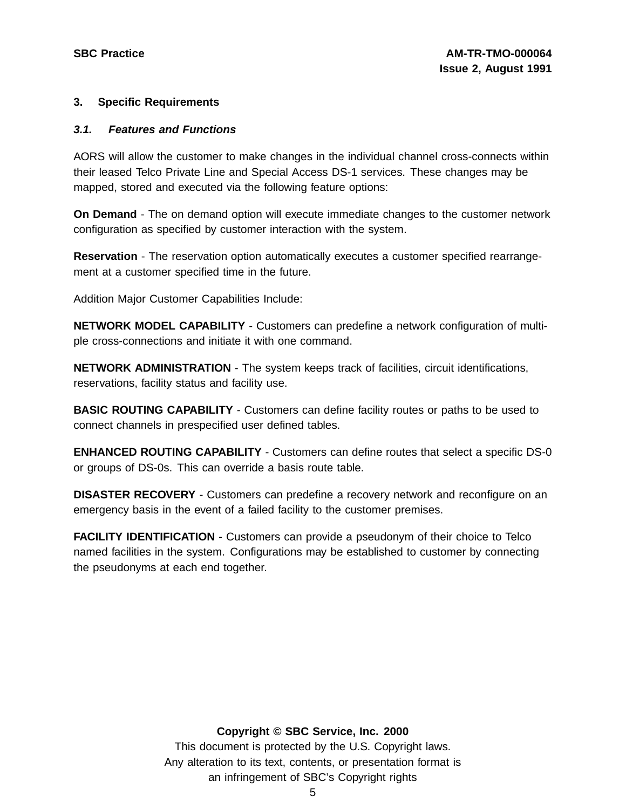# **3. Specific Requirements**

#### **3.1. Features and Functions**

AORS will allow the customer to make changes in the individual channel cross-connects within their leased Telco Private Line and Special Access DS-1 services. These changes may be mapped, stored and executed via the following feature options:

**On Demand** - The on demand option will execute immediate changes to the customer network configuration as specified by customer interaction with the system.

**Reservation** - The reservation option automatically executes a customer specified rearrangement at a customer specified time in the future.

Addition Major Customer Capabilities Include:

**NETWORK MODEL CAPABILITY** - Customers can predefine a network configuration of multiple cross-connections and initiate it with one command.

**NETWORK ADMINISTRATION** - The system keeps track of facilities, circuit identifications, reservations, facility status and facility use.

**BASIC ROUTING CAPABILITY** - Customers can define facility routes or paths to be used to connect channels in prespecified user defined tables.

**ENHANCED ROUTING CAPABILITY** - Customers can define routes that select a specific DS-0 or groups of DS-0s. This can override a basis route table.

**DISASTER RECOVERY** - Customers can predefine a recovery network and reconfigure on an emergency basis in the event of a failed facility to the customer premises.

**FACILITY IDENTIFICATION** - Customers can provide a pseudonym of their choice to Telco named facilities in the system. Configurations may be established to customer by connecting the pseudonyms at each end together.

**Copyright © SBC Service, Inc. 2000**